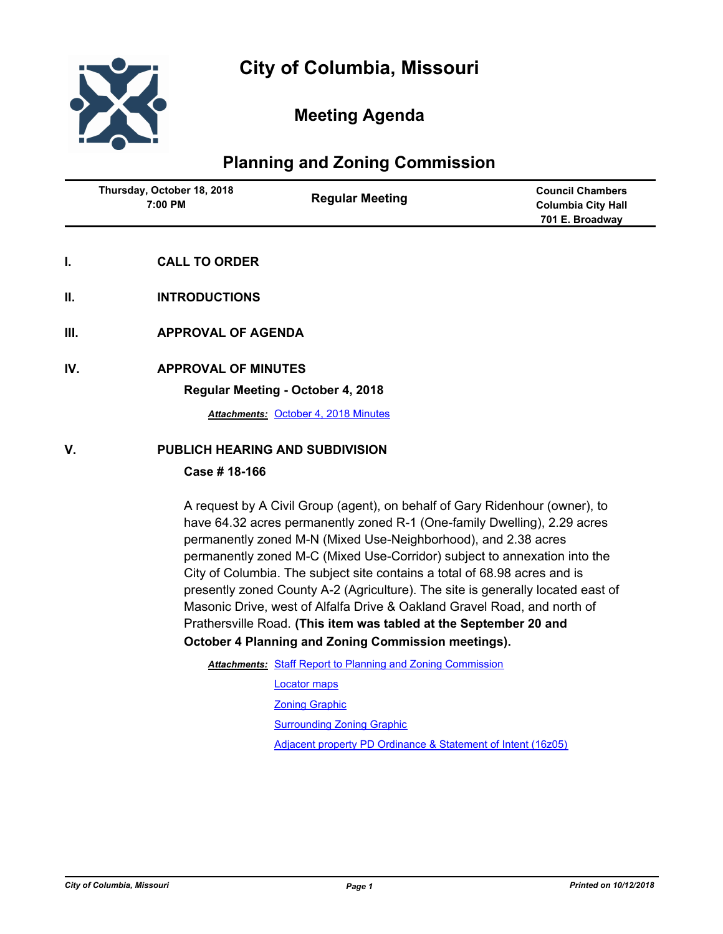

# **Meeting Agenda**

# **Planning and Zoning Commission**

| Thursday, October 18, 2018<br>7:00 PM | <b>Regular Meeting</b> | <b>Council Chambers</b><br><b>Columbia City Hall</b><br>701 E. Broadway |
|---------------------------------------|------------------------|-------------------------------------------------------------------------|
| $\sim$<br>- - - - - - -----           |                        |                                                                         |

- **I. CALL TO ORDER**
- **II. INTRODUCTIONS**
- **III. APPROVAL OF AGENDA**
- **IV. APPROVAL OF MINUTES**

## **Regular Meeting - October 4, 2018**

*Attachments:* [October 4, 2018 Minutes](http://gocolumbiamo.legistar.com/gateway.aspx?M=F&ID=fdb700b2-c320-463d-9890-5fb5e3308eea.doc)

## **V. PUBLICH HEARING AND SUBDIVISION**

## **Case # 18-166**

A request by A Civil Group (agent), on behalf of Gary Ridenhour (owner), to have 64.32 acres permanently zoned R-1 (One-family Dwelling), 2.29 acres permanently zoned M-N (Mixed Use-Neighborhood), and 2.38 acres permanently zoned M-C (Mixed Use-Corridor) subject to annexation into the City of Columbia. The subject site contains a total of 68.98 acres and is presently zoned County A-2 (Agriculture). The site is generally located east of Masonic Drive, west of Alfalfa Drive & Oakland Gravel Road, and north of Prathersville Road. **(This item was tabled at the September 20 and October 4 Planning and Zoning Commission meetings).**

Attachments: [Staff Report to Planning and Zoning Commission](http://gocolumbiamo.legistar.com/gateway.aspx?M=F&ID=fd29a1da-68a5-4062-87a7-5c75089e5dde.docx) [Locator maps](http://gocolumbiamo.legistar.com/gateway.aspx?M=F&ID=836df410-52f0-42b9-bdac-d0e32fa5b42c.pdf) [Zoning Graphic](http://gocolumbiamo.legistar.com/gateway.aspx?M=F&ID=804537b5-570d-467a-8891-6a22f89547c3.pdf) [Surrounding Zoning Graphic](http://gocolumbiamo.legistar.com/gateway.aspx?M=F&ID=191b5e5e-44f3-498d-b1b9-472ff5dc8935.pdf) [Adjacent property PD Ordinance & Statement of Intent \(16z05\)](http://gocolumbiamo.legistar.com/gateway.aspx?M=F&ID=b99a03bd-0b7d-4095-ae09-8c7cbefe4e46.pdf)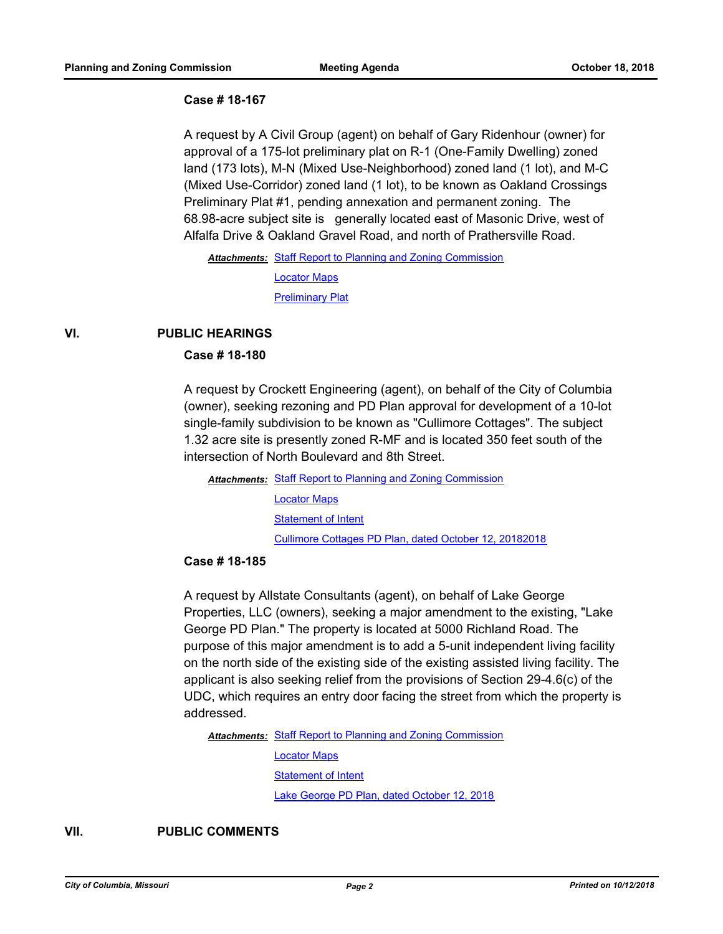#### **Case # 18-167**

A request by A Civil Group (agent) on behalf of Gary Ridenhour (owner) for approval of a 175-lot preliminary plat on R-1 (One-Family Dwelling) zoned land (173 lots), M-N (Mixed Use-Neighborhood) zoned land (1 lot), and M-C (Mixed Use-Corridor) zoned land (1 lot), to be known as Oakland Crossings Preliminary Plat #1, pending annexation and permanent zoning. The 68.98-acre subject site is generally located east of Masonic Drive, west of Alfalfa Drive & Oakland Gravel Road, and north of Prathersville Road.

Attachments: [Staff Report to Planning and Zoning Commission](http://gocolumbiamo.legistar.com/gateway.aspx?M=F&ID=ffec4c14-b26d-44eb-ae00-903e7688fddc.docx) [Locator Maps](http://gocolumbiamo.legistar.com/gateway.aspx?M=F&ID=3cb0e5ba-c55c-4c6e-abee-d9ac47278249.pdf) **[Preliminary Plat](http://gocolumbiamo.legistar.com/gateway.aspx?M=F&ID=7d7bf918-03f5-431e-a13d-4911c4ce6fbc.pdf)** 

#### **VI. PUBLIC HEARINGS**

### **Case # 18-180**

A request by Crockett Engineering (agent), on behalf of the City of Columbia (owner), seeking rezoning and PD Plan approval for development of a 10-lot single-family subdivision to be known as "Cullimore Cottages". The subject 1.32 acre site is presently zoned R-MF and is located 350 feet south of the intersection of North Boulevard and 8th Street.

Attachments: [Staff Report to Planning and Zoning Commission](http://gocolumbiamo.legistar.com/gateway.aspx?M=F&ID=f42a9cbf-0d44-4783-8cd2-55ac592f1eca.docx) [Locator Maps](http://gocolumbiamo.legistar.com/gateway.aspx?M=F&ID=4d806b08-af10-42a9-9fd3-a7b289e22f89.pdf) [Statement of Intent](http://gocolumbiamo.legistar.com/gateway.aspx?M=F&ID=3f404c8f-9eba-4668-8bfc-a3ead29c31ae.pdf) [Cullimore Cottages PD Plan, dated October 12, 20182018](http://gocolumbiamo.legistar.com/gateway.aspx?M=F&ID=af553d9d-8954-4c63-b83a-c4a04cdcb9e4.pdf)

#### **Case # 18-185**

A request by Allstate Consultants (agent), on behalf of Lake George Properties, LLC (owners), seeking a major amendment to the existing, "Lake George PD Plan." The property is located at 5000 Richland Road. The purpose of this major amendment is to add a 5-unit independent living facility on the north side of the existing side of the existing assisted living facility. The applicant is also seeking relief from the provisions of Section 29-4.6(c) of the UDC, which requires an entry door facing the street from which the property is addressed.

Attachments: [Staff Report to Planning and Zoning Commission](http://gocolumbiamo.legistar.com/gateway.aspx?M=F&ID=20259281-3a26-4507-b2ec-cb8292c7921a.docx)

[Locator Maps](http://gocolumbiamo.legistar.com/gateway.aspx?M=F&ID=5020d0e8-9366-4c6b-8593-7a309f38e6a0.pdf) [Statement of Intent](http://gocolumbiamo.legistar.com/gateway.aspx?M=F&ID=67e5254d-78d2-40c3-9f58-953ffab071c9.pdf) [Lake George PD Plan, dated October 12, 2018](http://gocolumbiamo.legistar.com/gateway.aspx?M=F&ID=998bfea7-46b9-434b-a0c5-06287906c481.pdf)

**VII. PUBLIC COMMENTS**